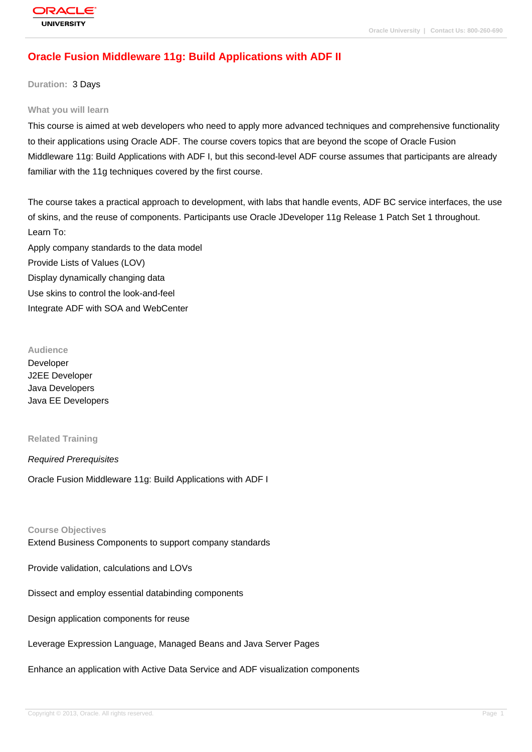# **[Oracle Fusion](http://education.oracle.com/pls/web_prod-plq-dad/db_pages.getpage?page_id=3) Middleware 11g: Build Applications with ADF II**

**Duration:** 3 Days

#### **What you will learn**

This course is aimed at web developers who need to apply more advanced techniques and comprehensive functionality to their applications using Oracle ADF. The course covers topics that are beyond the scope of Oracle Fusion Middleware 11g: Build Applications with ADF I, but this second-level ADF course assumes that participants are already familiar with the 11g techniques covered by the first course.

The course takes a practical approach to development, with labs that handle events, ADF BC service interfaces, the use of skins, and the reuse of components. Participants use Oracle JDeveloper 11g Release 1 Patch Set 1 throughout. Learn To: Apply company standards to the data model

Provide Lists of Values (LOV) Display dynamically changing data Use skins to control the look-and-feel Integrate ADF with SOA and WebCenter

#### **Audience**

Developer J2EE Developer Java Developers Java EE Developers

#### **Related Training**

#### Required Prerequisites

Oracle Fusion Middleware 11g: Build Applications with ADF I

#### **Course Objectives**

Extend Business Components to support company standards

Provide validation, calculations and LOVs

Dissect and employ essential databinding components

Design application components for reuse

Leverage Expression Language, Managed Beans and Java Server Pages

Enhance an application with Active Data Service and ADF visualization components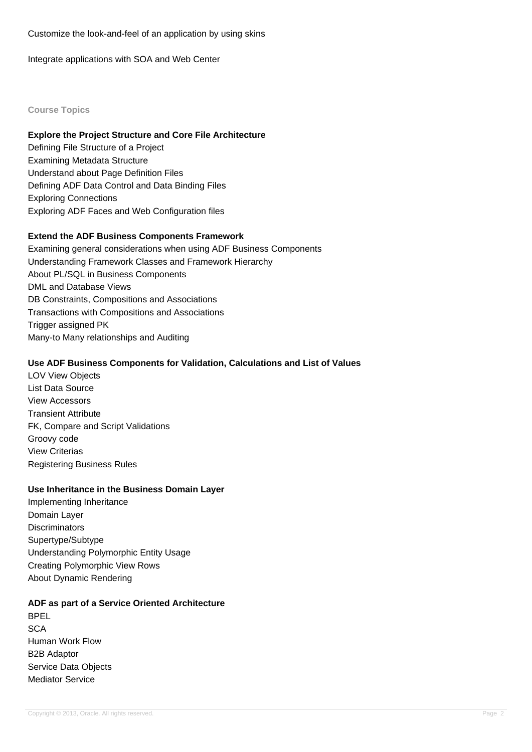Customize the look-and-feel of an application by using skins

Integrate applications with SOA and Web Center

### **Course Topics**

### **Explore the Project Structure and Core File Architecture**

Defining File Structure of a Project Examining Metadata Structure Understand about Page Definition Files Defining ADF Data Control and Data Binding Files Exploring Connections Exploring ADF Faces and Web Configuration files

### **Extend the ADF Business Components Framework**

Examining general considerations when using ADF Business Components Understanding Framework Classes and Framework Hierarchy About PL/SQL in Business Components DML and Database Views DB Constraints, Compositions and Associations Transactions with Compositions and Associations Trigger assigned PK Many-to Many relationships and Auditing

#### **Use ADF Business Components for Validation, Calculations and List of Values**

LOV View Objects List Data Source View Accessors Transient Attribute FK, Compare and Script Validations Groovy code View Criterias Registering Business Rules

#### **Use Inheritance in the Business Domain Layer**

Implementing Inheritance Domain Layer **Discriminators** Supertype/Subtype Understanding Polymorphic Entity Usage Creating Polymorphic View Rows About Dynamic Rendering

### **ADF as part of a Service Oriented Architecture**

BPEL **SCA** Human Work Flow B2B Adaptor Service Data Objects Mediator Service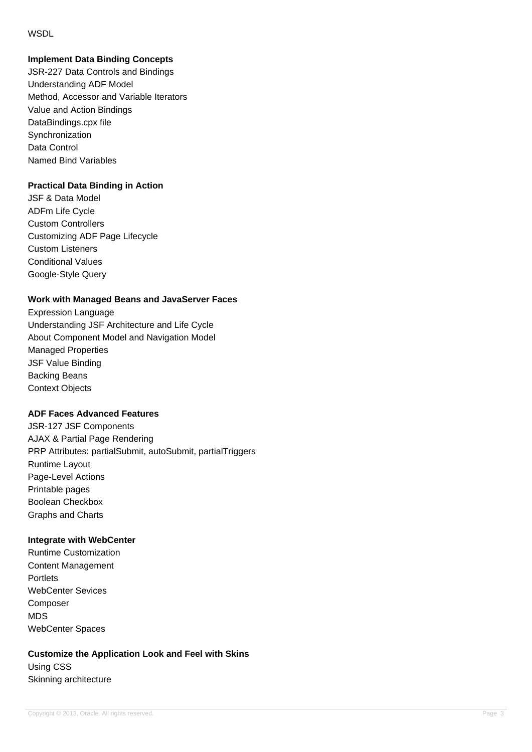### **WSDL**

# **Implement Data Binding Concepts**

JSR-227 Data Controls and Bindings Understanding ADF Model Method, Accessor and Variable Iterators Value and Action Bindings DataBindings.cpx file Synchronization Data Control Named Bind Variables

### **Practical Data Binding in Action**

JSF & Data Model ADFm Life Cycle Custom Controllers Customizing ADF Page Lifecycle Custom Listeners Conditional Values Google-Style Query

### **Work with Managed Beans and JavaServer Faces**

Expression Language Understanding JSF Architecture and Life Cycle About Component Model and Navigation Model Managed Properties JSF Value Binding Backing Beans Context Objects

### **ADF Faces Advanced Features**

JSR-127 JSF Components AJAX & Partial Page Rendering PRP Attributes: partialSubmit, autoSubmit, partialTriggers Runtime Layout Page-Level Actions Printable pages Boolean Checkbox Graphs and Charts

### **Integrate with WebCenter**

Runtime Customization Content Management **Portlets** WebCenter Sevices Composer MDS WebCenter Spaces

# **Customize the Application Look and Feel with Skins** Using CSS Skinning architecture